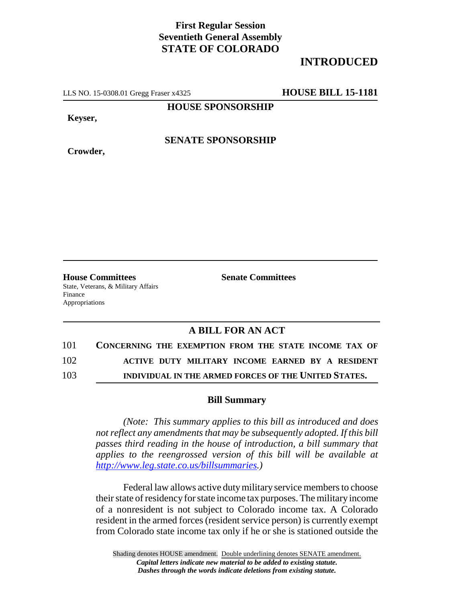## **First Regular Session Seventieth General Assembly STATE OF COLORADO**

## **INTRODUCED**

LLS NO. 15-0308.01 Gregg Fraser x4325 **HOUSE BILL 15-1181**

**HOUSE SPONSORSHIP**

**Keyser,**

**Crowder,**

**SENATE SPONSORSHIP**

**House Committees Senate Committees** State, Veterans, & Military Affairs Finance Appropriations

## **A BILL FOR AN ACT**

| 101 | CONCERNING THE EXEMPTION FROM THE STATE INCOME TAX OF |
|-----|-------------------------------------------------------|
| 102 | ACTIVE DUTY MILITARY INCOME EARNED BY A RESIDENT      |
| 103 | INDIVIDUAL IN THE ARMED FORCES OF THE UNITED STATES.  |

## **Bill Summary**

*(Note: This summary applies to this bill as introduced and does not reflect any amendments that may be subsequently adopted. If this bill passes third reading in the house of introduction, a bill summary that applies to the reengrossed version of this bill will be available at http://www.leg.state.co.us/billsummaries.)*

Federal law allows active duty military service members to choose their state of residency for state income tax purposes. The military income of a nonresident is not subject to Colorado income tax. A Colorado resident in the armed forces (resident service person) is currently exempt from Colorado state income tax only if he or she is stationed outside the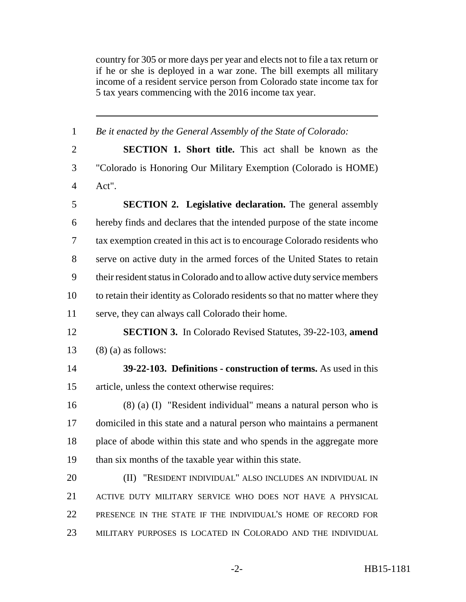country for 305 or more days per year and elects not to file a tax return or if he or she is deployed in a war zone. The bill exempts all military income of a resident service person from Colorado state income tax for 5 tax years commencing with the 2016 income tax year.

| $\mathbf{1}$   | Be it enacted by the General Assembly of the State of Colorado:             |
|----------------|-----------------------------------------------------------------------------|
| $\overline{2}$ | <b>SECTION 1. Short title.</b> This act shall be known as the               |
| 3              | "Colorado is Honoring Our Military Exemption (Colorado is HOME)             |
| 4              | Act".                                                                       |
| 5              | <b>SECTION 2. Legislative declaration.</b> The general assembly             |
| 6              | hereby finds and declares that the intended purpose of the state income     |
| 7              | tax exemption created in this act is to encourage Colorado residents who    |
| 8              | serve on active duty in the armed forces of the United States to retain     |
| 9              | their resident status in Colorado and to allow active duty service members  |
| 10             | to retain their identity as Colorado residents so that no matter where they |
| 11             | serve, they can always call Colorado their home.                            |
| 12             | <b>SECTION 3.</b> In Colorado Revised Statutes, 39-22-103, amend            |
| 13             | $(8)$ (a) as follows:                                                       |
| 14             | 39-22-103. Definitions - construction of terms. As used in this             |
| 15             | article, unless the context otherwise requires:                             |
| 16             | (8) (a) (I) "Resident individual" means a natural person who is             |
| 17             | domiciled in this state and a natural person who maintains a permanent      |
| 18             | place of abode within this state and who spends in the aggregate more       |
| 19             | than six months of the taxable year within this state.                      |
| 20             | (II) "RESIDENT INDIVIDUAL" ALSO INCLUDES AN INDIVIDUAL IN                   |
| 21             | ACTIVE DUTY MILITARY SERVICE WHO DOES NOT HAVE A PHYSICAL                   |
| 22             | PRESENCE IN THE STATE IF THE INDIVIDUAL'S HOME OF RECORD FOR                |
| 23             | MILITARY PURPOSES IS LOCATED IN COLORADO AND THE INDIVIDUAL                 |
|                |                                                                             |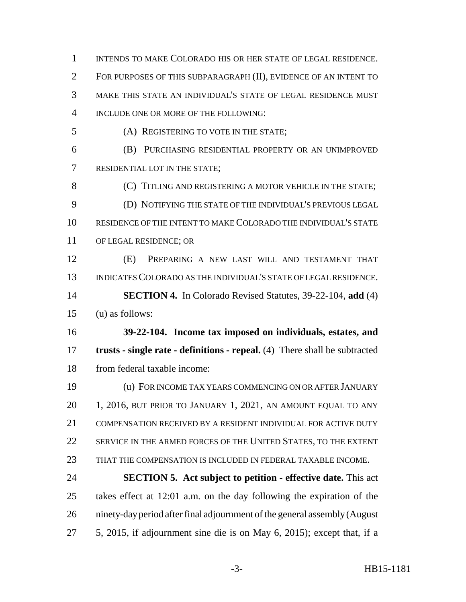FOR PURPOSES OF THIS SUBPARAGRAPH (II), EVIDENCE OF AN INTENT TO MAKE THIS STATE AN INDIVIDUAL'S STATE OF LEGAL RESIDENCE MUST INCLUDE ONE OR MORE OF THE FOLLOWING: (A) REGISTERING TO VOTE IN THE STATE; (B) PURCHASING RESIDENTIAL PROPERTY OR AN UNIMPROVED RESIDENTIAL LOT IN THE STATE; **(C) TITLING AND REGISTERING A MOTOR VEHICLE IN THE STATE;**  (D) NOTIFYING THE STATE OF THE INDIVIDUAL'S PREVIOUS LEGAL RESIDENCE OF THE INTENT TO MAKE COLORADO THE INDIVIDUAL'S STATE OF LEGAL RESIDENCE; OR (E) PREPARING A NEW LAST WILL AND TESTAMENT THAT INDICATES COLORADO AS THE INDIVIDUAL'S STATE OF LEGAL RESIDENCE. **SECTION 4.** In Colorado Revised Statutes, 39-22-104, **add** (4) (u) as follows: **39-22-104. Income tax imposed on individuals, estates, and trusts - single rate - definitions - repeal.** (4) There shall be subtracted from federal taxable income: (u) FOR INCOME TAX YEARS COMMENCING ON OR AFTER JANUARY 1, 2016, BUT PRIOR TO JANUARY 1, 2021, AN AMOUNT EQUAL TO ANY 21 COMPENSATION RECEIVED BY A RESIDENT INDIVIDUAL FOR ACTIVE DUTY SERVICE IN THE ARMED FORCES OF THE UNITED STATES, TO THE EXTENT THAT THE COMPENSATION IS INCLUDED IN FEDERAL TAXABLE INCOME. **SECTION 5. Act subject to petition - effective date.** This act takes effect at 12:01 a.m. on the day following the expiration of the ninety-day period after final adjournment of the general assembly (August 5, 2015, if adjournment sine die is on May 6, 2015); except that, if a

INTENDS TO MAKE COLORADO HIS OR HER STATE OF LEGAL RESIDENCE.